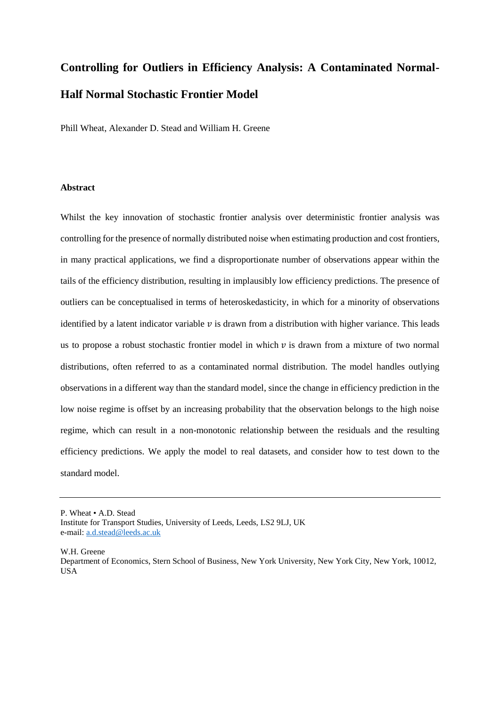# **Controlling for Outliers in Efficiency Analysis: A Contaminated Normal-Half Normal Stochastic Frontier Model**

Phill Wheat, Alexander D. Stead and William H. Greene

#### **Abstract**

Whilst the key innovation of stochastic frontier analysis over deterministic frontier analysis was controlling for the presence of normally distributed noise when estimating production and cost frontiers, in many practical applications, we find a disproportionate number of observations appear within the tails of the efficiency distribution, resulting in implausibly low efficiency predictions. The presence of outliers can be conceptualised in terms of heteroskedasticity, in which for a minority of observations identified by a latent indicator variable  $\nu$  is drawn from a distribution with higher variance. This leads us to propose a robust stochastic frontier model in which  $\nu$  is drawn from a mixture of two normal distributions, often referred to as a contaminated normal distribution. The model handles outlying observations in a different way than the standard model, since the change in efficiency prediction in the low noise regime is offset by an increasing probability that the observation belongs to the high noise regime, which can result in a non-monotonic relationship between the residuals and the resulting efficiency predictions. We apply the model to real datasets, and consider how to test down to the standard model.

W.H. Greene

P. Wheat • A.D. Stead Institute for Transport Studies, University of Leeds, Leeds, LS2 9LJ, UK e-mail: [a.d.stead@leeds.ac.uk](mailto:a.d.stead@leeds.ac.uk)

Department of Economics, Stern School of Business, New York University, New York City, New York, 10012, USA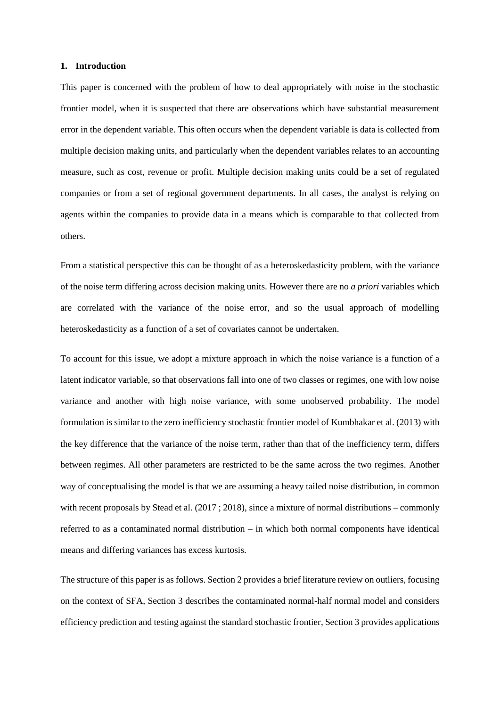#### **1. Introduction**

This paper is concerned with the problem of how to deal appropriately with noise in the stochastic frontier model, when it is suspected that there are observations which have substantial measurement error in the dependent variable. This often occurs when the dependent variable is data is collected from multiple decision making units, and particularly when the dependent variables relates to an accounting measure, such as cost, revenue or profit. Multiple decision making units could be a set of regulated companies or from a set of regional government departments. In all cases, the analyst is relying on agents within the companies to provide data in a means which is comparable to that collected from others.

From a statistical perspective this can be thought of as a heteroskedasticity problem, with the variance of the noise term differing across decision making units. However there are no *a priori* variables which are correlated with the variance of the noise error, and so the usual approach of modelling heteroskedasticity as a function of a set of covariates cannot be undertaken.

To account for this issue, we adopt a mixture approach in which the noise variance is a function of a latent indicator variable, so that observations fall into one of two classes or regimes, one with low noise variance and another with high noise variance, with some unobserved probability. The model formulation is similar to the zero inefficiency stochastic frontier model of Kumbhakar et al. (2013) with the key difference that the variance of the noise term, rather than that of the inefficiency term, differs between regimes. All other parameters are restricted to be the same across the two regimes. Another way of conceptualising the model is that we are assuming a heavy tailed noise distribution, in common with recent proposals by Stead et al. (2017 ; 2018), since a mixture of normal distributions – commonly referred to as a contaminated normal distribution – in which both normal components have identical means and differing variances has excess kurtosis.

The structure of this paper is as follows. Sectio[n 2](#page-2-0) provides a brief literature review on outliers, focusing on the context of SFA, Section [3](#page-4-0) describes the contaminated normal-half normal model and considers efficiency prediction and testing against the standard stochastic frontier, Section 3 provides applications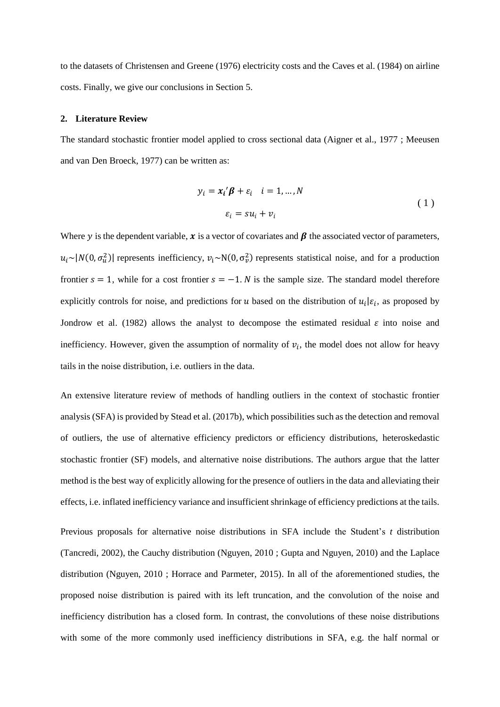to the datasets of Christensen and Greene (1976) electricity costs and the Caves et al. (1984) on airline costs. Finally, we give our conclusions in Section [5.](#page-18-0)

## <span id="page-2-0"></span>**2. Literature Review**

The standard stochastic frontier model applied to cross sectional data (Aigner et al., 1977 ; Meeusen and van Den Broeck, 1977) can be written as:

$$
y_i = x_i' \beta + \varepsilon_i \quad i = 1, ..., N
$$
  

$$
\varepsilon_i = s u_i + v_i
$$
 (1)

Where y is the dependent variable,  $x$  is a vector of covariates and  $\beta$  the associated vector of parameters,  $u_i \sim |N(0, \sigma_u^2)|$  represents inefficiency,  $v_i \sim N(0, \sigma_v^2)$  represents statistical noise, and for a production frontier  $s = 1$ , while for a cost frontier  $s = -1$ . *N* is the sample size. The standard model therefore explicitly controls for noise, and predictions for u based on the distribution of  $u_i | \varepsilon_i$ , as proposed by Jondrow et al. (1982) allows the analyst to decompose the estimated residual  $\varepsilon$  into noise and inefficiency. However, given the assumption of normality of  $v_i$ , the model does not allow for heavy tails in the noise distribution, i.e. outliers in the data.

An extensive literature review of methods of handling outliers in the context of stochastic frontier analysis (SFA) is provided by Stead et al. (2017b), which possibilities such as the detection and removal of outliers, the use of alternative efficiency predictors or efficiency distributions, heteroskedastic stochastic frontier (SF) models, and alternative noise distributions. The authors argue that the latter method is the best way of explicitly allowing for the presence of outliers in the data and alleviating their effects, i.e. inflated inefficiency variance and insufficient shrinkage of efficiency predictions at the tails.

Previous proposals for alternative noise distributions in SFA include the Student's *t* distribution (Tancredi, 2002), the Cauchy distribution (Nguyen, 2010 ; Gupta and Nguyen, 2010) and the Laplace distribution (Nguyen, 2010 ; Horrace and Parmeter, 2015). In all of the aforementioned studies, the proposed noise distribution is paired with its left truncation, and the convolution of the noise and inefficiency distribution has a closed form. In contrast, the convolutions of these noise distributions with some of the more commonly used inefficiency distributions in SFA, e.g. the half normal or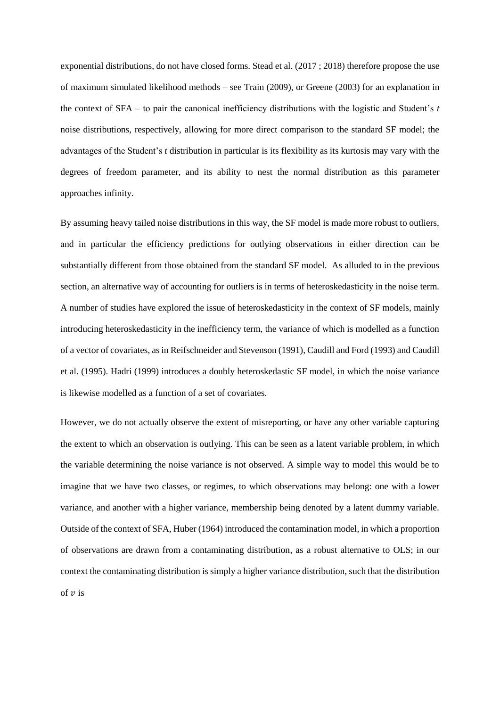exponential distributions, do not have closed forms. Stead et al. (2017 ; 2018) therefore propose the use of maximum simulated likelihood methods – see Train (2009), or Greene (2003) for an explanation in the context of SFA – to pair the canonical inefficiency distributions with the logistic and Student's *t* noise distributions, respectively, allowing for more direct comparison to the standard SF model; the advantages of the Student's *t* distribution in particular is its flexibility as its kurtosis may vary with the degrees of freedom parameter, and its ability to nest the normal distribution as this parameter approaches infinity.

By assuming heavy tailed noise distributions in this way, the SF model is made more robust to outliers, and in particular the efficiency predictions for outlying observations in either direction can be substantially different from those obtained from the standard SF model. As alluded to in the previous section, an alternative way of accounting for outliers is in terms of heteroskedasticity in the noise term. A number of studies have explored the issue of heteroskedasticity in the context of SF models, mainly introducing heteroskedasticity in the inefficiency term, the variance of which is modelled as a function of a vector of covariates, as in Reifschneider and Stevenson (1991), Caudill and Ford (1993) and Caudill et al. (1995). Hadri (1999) introduces a doubly heteroskedastic SF model, in which the noise variance is likewise modelled as a function of a set of covariates.

However, we do not actually observe the extent of misreporting, or have any other variable capturing the extent to which an observation is outlying. This can be seen as a latent variable problem, in which the variable determining the noise variance is not observed. A simple way to model this would be to imagine that we have two classes, or regimes, to which observations may belong: one with a lower variance, and another with a higher variance, membership being denoted by a latent dummy variable. Outside of the context of SFA, Huber (1964) introduced the contamination model, in which a proportion of observations are drawn from a contaminating distribution, as a robust alternative to OLS; in our context the contaminating distribution is simply a higher variance distribution, such that the distribution of  $\nu$  is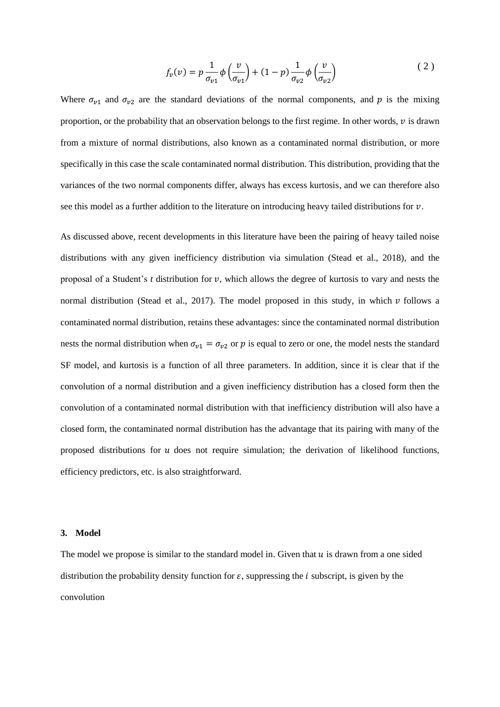<span id="page-4-1"></span>
$$
f_v(v) = p \frac{1}{\sigma_{v1}} \phi\left(\frac{v}{\sigma_{v1}}\right) + (1-p) \frac{1}{\sigma_{v2}} \phi\left(\frac{v}{\sigma_{v2}}\right)
$$
 (2)

Where  $\sigma_{v1}$  and  $\sigma_{v2}$  are the standard deviations of the normal components, and p is the mixing proportion, or the probability that an observation belongs to the first regime. In other words,  $\nu$  is drawn from a mixture of normal distributions, also known as a contaminated normal distribution, or more specifically in this case the scale contaminated normal distribution. This distribution, providing that the variances of the two normal components differ, always has excess kurtosis, and we can therefore also see this model as a further addition to the literature on introducing heavy tailed distributions for  $\nu$ .

As discussed above, recent developments in this literature have been the pairing of heavy tailed noise distributions with any given inefficiency distribution via simulation (Stead et al., 2018), and the proposal of a Student's  $t$  distribution for  $v$ , which allows the degree of kurtosis to vary and nests the normal distribution (Stead et al., 2017). The model proposed in this study, in which  $\nu$  follows a contaminated normal distribution, retains these advantages: since the contaminated normal distribution nests the normal distribution when  $\sigma_{v1} = \sigma_{v2}$  or p is equal to zero or one, the model nests the standard SF model, and kurtosis is a function of all three parameters. In addition, since it is clear that if the convolution of a normal distribution and a given inefficiency distribution has a closed form then the convolution of a contaminated normal distribution with that inefficiency distribution will also have a closed form, the contaminated normal distribution has the advantage that its pairing with many of the proposed distributions for  $u$  does not require simulation; the derivation of likelihood functions, efficiency predictors, etc. is also straightforward.

#### <span id="page-4-0"></span>**3. Model**

The model we propose is similar to the standard model in. Given that  $u$  is drawn from a one sided distribution the probability density function for  $\varepsilon$ , suppressing the *i* subscript, is given by the convolution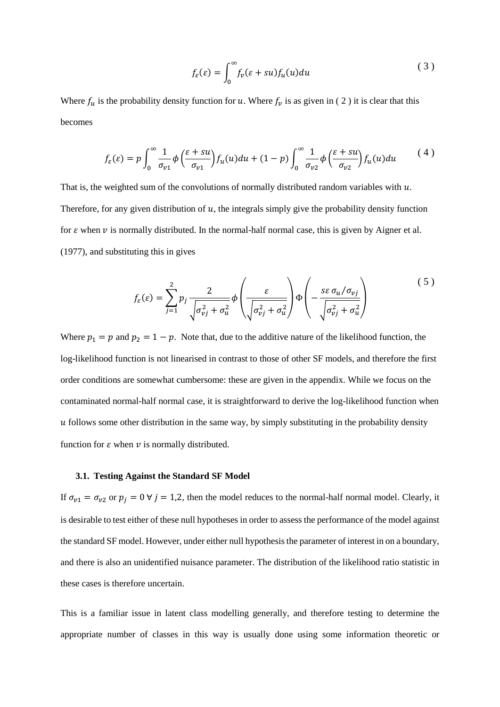$$
f_{\varepsilon}(\varepsilon) = \int_0^\infty f_{\nu}(\varepsilon + s u) f_u(u) du \tag{3}
$$

Where  $f_u$  is the probability density function for u. Where  $f_v$  is as given in (2) it is clear that this becomes

$$
f_{\varepsilon}(\varepsilon) = p \int_0^{\infty} \frac{1}{\sigma_{v1}} \phi \left( \frac{\varepsilon + su}{\sigma_{v1}} \right) f_u(u) du + (1 - p) \int_0^{\infty} \frac{1}{\sigma_{v2}} \phi \left( \frac{\varepsilon + su}{\sigma_{v2}} \right) f_u(u) du \tag{4}
$$

That is, the weighted sum of the convolutions of normally distributed random variables with  $u$ . Therefore, for any given distribution of  $u$ , the integrals simply give the probability density function for  $\varepsilon$  when  $\nu$  is normally distributed. In the normal-half normal case, this is given by Aigner et al. (1977), and substituting this in gives

$$
f_{\varepsilon}(\varepsilon) = \sum_{j=1}^{2} p_j \frac{2}{\sqrt{\sigma_{vj}^2 + \sigma_u^2}} \phi \left( \frac{\varepsilon}{\sqrt{\sigma_{vj}^2 + \sigma_u^2}} \right) \Phi \left( -\frac{s \varepsilon \sigma_u / \sigma_{vj}}{\sqrt{\sigma_{vj}^2 + \sigma_u^2}} \right)
$$
 (5)

Where  $p_1 = p$  and  $p_2 = 1 - p$ . Note that, due to the additive nature of the likelihood function, the log-likelihood function is not linearised in contrast to those of other SF models, and therefore the first order conditions are somewhat cumbersome: these are given in the appendix. While we focus on the contaminated normal-half normal case, it is straightforward to derive the log-likelihood function when  $\mu$  follows some other distribution in the same way, by simply substituting in the probability density function for  $\varepsilon$  when  $\nu$  is normally distributed.

#### **3.1. Testing Against the Standard SF Model**

If  $\sigma_{v1} = \sigma_{v2}$  or  $p_j = 0$   $\forall j = 1,2$ , then the model reduces to the normal-half normal model. Clearly, it is desirable to test either of these null hypotheses in order to assess the performance of the model against the standard SF model. However, under either null hypothesis the parameter of interest in on a boundary, and there is also an unidentified nuisance parameter. The distribution of the likelihood ratio statistic in these cases is therefore uncertain.

This is a familiar issue in latent class modelling generally, and therefore testing to determine the appropriate number of classes in this way is usually done using some information theoretic or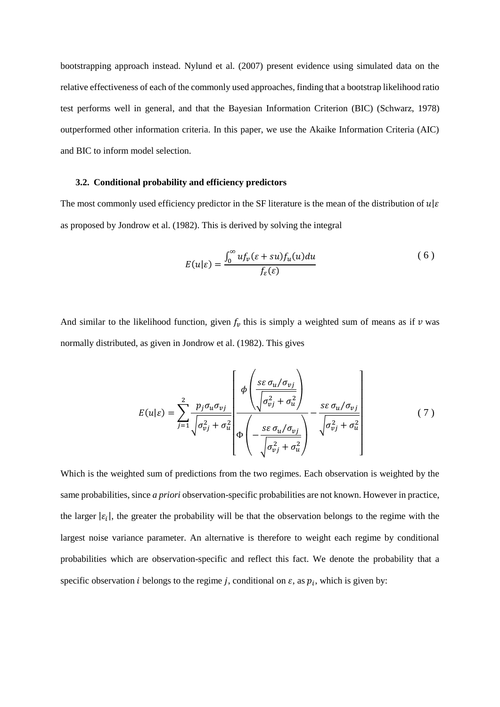bootstrapping approach instead. Nylund et al. (2007) present evidence using simulated data on the relative effectiveness of each of the commonly used approaches, finding that a bootstrap likelihood ratio test performs well in general, and that the Bayesian Information Criterion (BIC) (Schwarz, 1978) outperformed other information criteria. In this paper, we use the Akaike Information Criteria (AIC) and BIC to inform model selection.

## **3.2. Conditional probability and efficiency predictors**

The most commonly used efficiency predictor in the SF literature is the mean of the distribution of  $u | \varepsilon$ as proposed by Jondrow et al. (1982). This is derived by solving the integral

$$
E(u|\varepsilon) = \frac{\int_0^\infty u f_\nu(\varepsilon + su) f_u(u) du}{f_\varepsilon(\varepsilon)}
$$
(6)

And similar to the likelihood function, given  $f_v$  this is simply a weighted sum of means as if  $v$  was normally distributed, as given in Jondrow et al. (1982). This gives

$$
E(u|\varepsilon) = \sum_{j=1}^{2} \frac{p_j \sigma_u \sigma_{vj}}{\sqrt{\sigma_{vj}^2 + \sigma_u^2}} \left[ \frac{\phi \left( \frac{s \varepsilon \sigma_u / \sigma_{vj}}{\sqrt{\sigma_{vj}^2 + \sigma_u^2}} \right)}{\phi \left( -\frac{s \varepsilon \sigma_u / \sigma_{vj}}{\sqrt{\sigma_{vj}^2 + \sigma_u^2}} \right)} - \frac{s \varepsilon \sigma_u / \sigma_{vj}}{\sqrt{\sigma_{vj}^2 + \sigma_u^2}} \right]
$$
(7)

Which is the weighted sum of predictions from the two regimes. Each observation is weighted by the same probabilities, since *a priori* observation-specific probabilities are not known. However in practice, the larger  $|\varepsilon_i|$ , the greater the probability will be that the observation belongs to the regime with the largest noise variance parameter. An alternative is therefore to weight each regime by conditional probabilities which are observation-specific and reflect this fact. We denote the probability that a specific observation *i* belongs to the regime *j*, conditional on  $\varepsilon$ , as  $p_i$ , which is given by: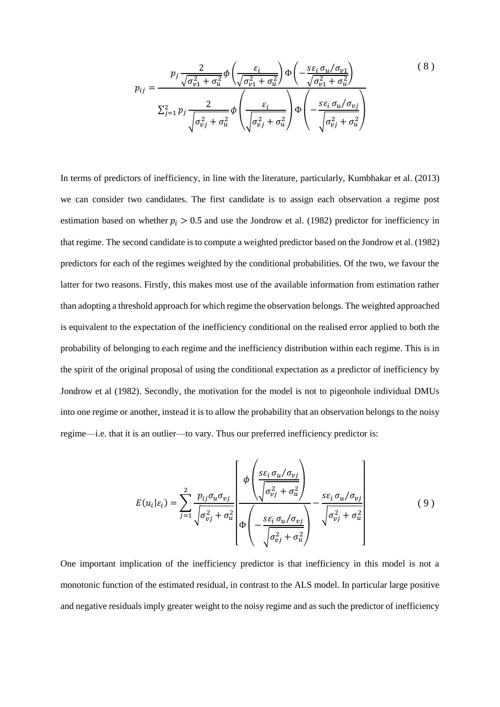$$
p_{ij} = \frac{p_j \frac{2}{\sqrt{\sigma_{v1}^2 + \sigma_u^2}} \phi \left(\frac{\varepsilon_i}{\sqrt{\sigma_{v1}^2 + \sigma_u^2}}\right) \Phi \left(-\frac{s \varepsilon_i \sigma_u / \sigma_{v1}}{\sqrt{\sigma_{v1}^2 + \sigma_u^2}}\right)}{\sum_{j=1}^2 p_j \frac{2}{\sqrt{\sigma_{vj}^2 + \sigma_u^2}}} \phi \left(\frac{\varepsilon_i}{\sqrt{\sigma_{vj}^2 + \sigma_u^2}}\right) \Phi \left(-\frac{s \varepsilon_i \sigma_u / \sigma_{vj}}{\sqrt{\sigma_{vj}^2 + \sigma_u^2}}\right)}
$$
(8)

In terms of predictors of inefficiency, in line with the literature, particularly, Kumbhakar et al. (2013) we can consider two candidates. The first candidate is to assign each observation a regime post estimation based on whether  $p_i > 0.5$  and use the Jondrow et al. (1982) predictor for inefficiency in that regime. The second candidate is to compute a weighted predictor based on the Jondrow et al. (1982) predictors for each of the regimes weighted by the conditional probabilities. Of the two, we favour the latter for two reasons. Firstly, this makes most use of the available information from estimation rather than adopting a threshold approach for which regime the observation belongs. The weighted approached is equivalent to the expectation of the inefficiency conditional on the realised error applied to both the probability of belonging to each regime and the inefficiency distribution within each regime. This is in the spirit of the original proposal of using the conditional expectation as a predictor of inefficiency by Jondrow et al (1982). Secondly, the motivation for the model is not to pigeonhole individual DMUs into one regime or another, instead it is to allow the probability that an observation belongs to the noisy regime—i.e. that it is an outlier—to vary. Thus our preferred inefficiency predictor is:

<span id="page-7-0"></span>
$$
E(u_i|\varepsilon_i) = \sum_{j=1}^2 \frac{p_{ij}\sigma_u \sigma_{vj}}{\sqrt{\sigma_{vj}^2 + \sigma_u^2}} \left[ \Phi\left(\frac{s\varepsilon_i \sigma_u/\sigma_{vj}}{\sqrt{\sigma_{vj}^2 + \sigma_u^2}}\right) - \frac{s\varepsilon_i \sigma_u/\sigma_{vj}}{\sqrt{\sigma_{vj}^2 + \sigma_u^2}} \right]
$$
(9)

One important implication of the inefficiency predictor is that inefficiency in this model is not a monotonic function of the estimated residual, in contrast to the ALS model. In particular large positive and negative residuals imply greater weight to the noisy regime and as such the predictor of inefficiency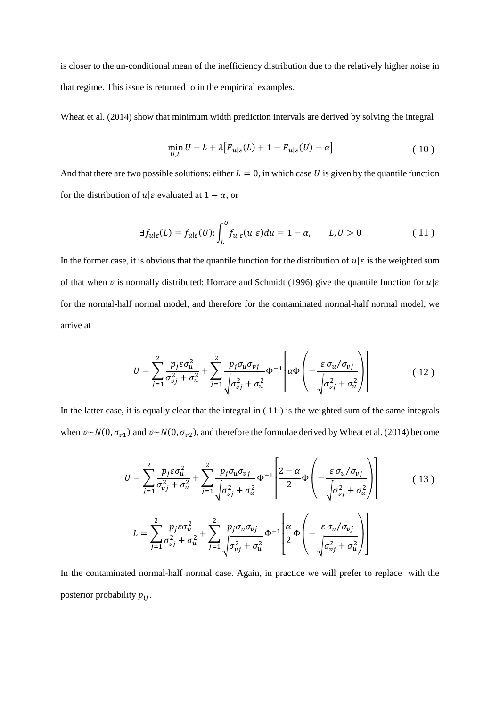is closer to the un-conditional mean of the inefficiency distribution due to the relatively higher noise in that regime. This issue is returned to in the empirical examples.

Wheat et al. (2014) show that minimum width prediction intervals are derived by solving the integral

<span id="page-8-0"></span>
$$
\min_{U,L} U - L + \lambda \big[ F_{u|\varepsilon}(L) + 1 - F_{u|\varepsilon}(U) - \alpha \big] \tag{10}
$$

And that there are two possible solutions: either  $L = 0$ , in which case U is given by the quantile function for the distribution of  $u | \varepsilon$  evaluated at  $1 - \alpha$ , or

$$
\exists f_{u|\varepsilon}(L) = f_{u|\varepsilon}(U) : \int_{L}^{U} f_{u|\varepsilon}(u|\varepsilon) du = 1 - \alpha, \qquad L, U > 0 \tag{11}
$$

In the former case, it is obvious that the quantile function for the distribution of  $u | \varepsilon$  is the weighted sum of that when v is normally distributed: Horrace and Schmidt (1996) give the quantile function for  $u | \varepsilon$ for the normal-half normal model, and therefore for the contaminated normal-half normal model, we arrive at

$$
U = \sum_{j=1}^{2} \frac{p_j \varepsilon \sigma_u^2}{\sigma_{vj}^2 + \sigma_u^2} + \sum_{j=1}^{2} \frac{p_j \sigma_u \sigma_{vj}}{\sqrt{\sigma_{vj}^2 + \sigma_u^2}} \Phi^{-1} \left[ \alpha \Phi \left( -\frac{\varepsilon \sigma_u / \sigma_{vj}}{\sqrt{\sigma_{vj}^2 + \sigma_u^2}} \right) \right]
$$
(12)

In the latter case, it is equally clear that the integral in [\( 11](#page-8-0) ) is the weighted sum of the same integrals when  $v \sim N(0, \sigma_{v1})$  and  $v \sim N(0, \sigma_{v2})$ , and therefore the formulae derived by Wheat et al. (2014) become

$$
U = \sum_{j=1}^{2} \frac{p_j \varepsilon \sigma_u^2}{\sigma_{vj}^2 + \sigma_u^2} + \sum_{j=1}^{2} \frac{p_j \sigma_u \sigma_{vj}}{\sqrt{\sigma_{vj}^2 + \sigma_u^2}} \Phi^{-1} \left[ \frac{2 - \alpha}{2} \Phi \left( -\frac{\varepsilon \sigma_u / \sigma_{vj}}{\sqrt{\sigma_{vj}^2 + \sigma_u^2}} \right) \right]
$$
(13)  

$$
L = \sum_{j=1}^{2} \frac{p_j \varepsilon \sigma_u^2}{\sigma_{vj}^2 + \sigma_u^2} + \sum_{j=1}^{2} \frac{p_j \sigma_u \sigma_{vj}}{\sqrt{\sigma_{vj}^2 + \sigma_u^2}} \Phi^{-1} \left[ \frac{\alpha}{2} \Phi \left( -\frac{\varepsilon \sigma_u / \sigma_{vj}}{\sqrt{\sigma_{vj}^2 + \sigma_u^2}} \right) \right]
$$

In the contaminated normal-half normal case. Again, in practice we will prefer to replace with the posterior probability  $p_{ij}$ .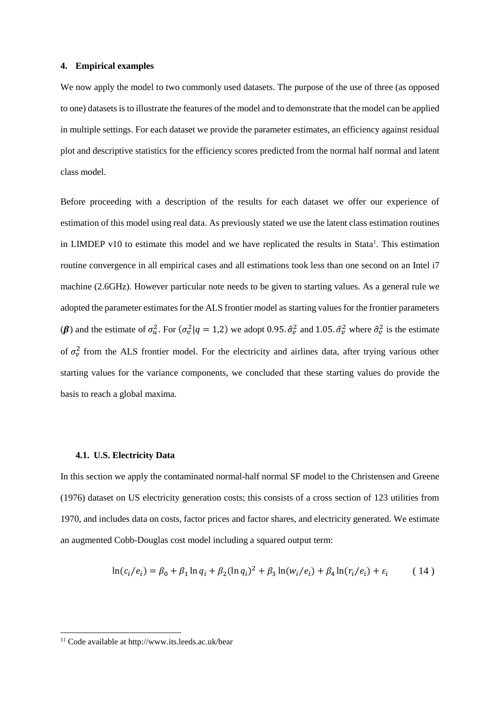#### **4. Empirical examples**

We now apply the model to two commonly used datasets. The purpose of the use of three (as opposed to one) datasets is to illustrate the features of the model and to demonstrate that the model can be applied in multiple settings. For each dataset we provide the parameter estimates, an efficiency against residual plot and descriptive statistics for the efficiency scores predicted from the normal half normal and latent class model.

Before proceeding with a description of the results for each dataset we offer our experience of estimation of this model using real data. As previously stated we use the latent class estimation routines in LIMDEP v10 to estimate this model and we have replicated the results in Stata<sup>1</sup>. This estimation routine convergence in all empirical cases and all estimations took less than one second on an Intel i7 machine (2.6GHz). However particular note needs to be given to starting values. As a general rule we adopted the parameter estimates for the ALS frontier model as starting values for the frontier parameters ( $\beta$ ) and the estimate of  $\sigma_u^2$ . For  $(\sigma_v^2 | q = 1,2)$  we adopt 0.95.  $\hat{\sigma}_v^2$  and 1.05.  $\hat{\sigma}_v^2$  where  $\hat{\sigma}_v^2$  is the estimate of  $\sigma_v^2$  from the ALS frontier model. For the electricity and airlines data, after trying various other starting values for the variance components, we concluded that these starting values do provide the basis to reach a global maxima.

#### **4.1. U.S. Electricity Data**

In this section we apply the contaminated normal-half normal SF model to the Christensen and Greene (1976) dataset on US electricity generation costs; this consists of a cross section of 123 utilities from 1970, and includes data on costs, factor prices and factor shares, and electricity generated. We estimate an augmented Cobb-Douglas cost model including a squared output term:

$$
\ln(c_i/e_i) = \beta_0 + \beta_1 \ln q_i + \beta_2 (\ln q_i)^2 + \beta_3 \ln(w_i/e_i) + \beta_4 \ln(r_i/e_i) + \varepsilon_i \tag{14}
$$

-

<sup>11</sup> Code available at http://www.its.leeds.ac.uk/bear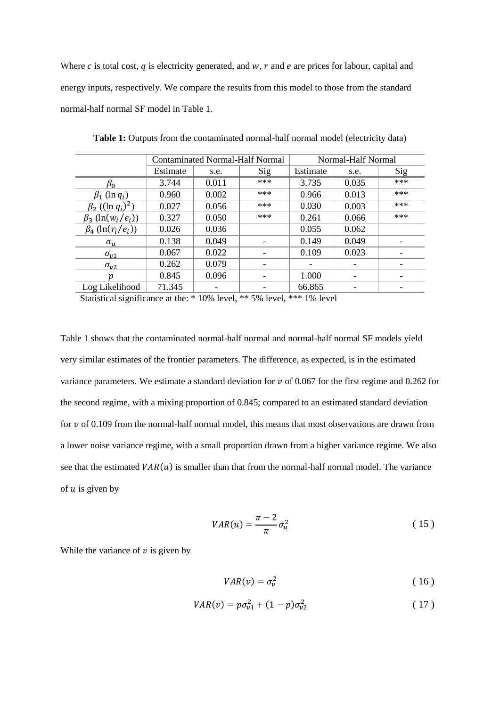Where c is total cost, q is electricity generated, and  $w$ ,  $r$  and  $e$  are prices for labour, capital and energy inputs, respectively. We compare the results from this model to those from the standard normal-half normal SF model in [Table 1.](#page-10-0)

|                                                 | <b>Contaminated Normal-Half Normal</b> |       |     | Normal-Half Normal |       |     |
|-------------------------------------------------|----------------------------------------|-------|-----|--------------------|-------|-----|
|                                                 | Estimate                               | s.e.  | Sig | Estimate           | s.e.  | Sig |
| $\beta_0$                                       | 3.744                                  | 0.011 | *** | 3.735              | 0.035 | *** |
| $\beta_1$ (ln $q_i$ )                           | 0.960                                  | 0.002 | *** | 0.966              | 0.013 | *** |
| $\beta_2$ ((ln $q_i$ ) <sup>2</sup> )           | 0.027                                  | 0.056 | *** | 0.030              | 0.003 | *** |
| $\beta_3$ (ln(w <sub>i</sub> /e <sub>i</sub> )) | 0.327                                  | 0.050 | *** | 0.261              | 0.066 | *** |
| $\beta_4$ (ln( $r_i/e_i$ ))                     | 0.026                                  | 0.036 |     | 0.055              | 0.062 |     |
| $\sigma_{\rm u}$                                | 0.138                                  | 0.049 |     | 0.149              | 0.049 |     |
| $\sigma_{v1}$                                   | 0.067                                  | 0.022 |     | 0.109              | 0.023 |     |
| $\sigma_{\nu}$                                  | 0.262                                  | 0.079 |     |                    |       |     |
| р                                               | 0.845                                  | 0.096 |     | 1.000              |       |     |
| Log Likelihood                                  | 71.345                                 |       |     | 66.865             |       |     |

<span id="page-10-0"></span>Table 1: Outputs from the contaminated normal-half normal model (electricity data)

Statistical significance at the: \* 10% level, \*\* 5% level, \*\*\* 1% level

[Table 1](#page-10-0) shows that the contaminated normal-half normal and normal-half normal SF models yield very similar estimates of the frontier parameters. The difference, as expected, is in the estimated variance parameters. We estimate a standard deviation for  $\nu$  of 0.067 for the first regime and 0.262 for the second regime, with a mixing proportion of 0.845; compared to an estimated standard deviation for  $\nu$  of 0.109 from the normal-half normal model, this means that most observations are drawn from a lower noise variance regime, with a small proportion drawn from a higher variance regime. We also see that the estimated  $VAR(u)$  is smaller than that from the normal-half normal model. The variance of  $u$  is given by

$$
VAR(u) = \frac{\pi - 2}{\pi} \sigma_u^2 \tag{15}
$$

While the variance of  $\nu$  is given by

$$
VAR(v) = \sigma_v^2 \tag{16}
$$

$$
VAR(v) = p\sigma_{v1}^2 + (1 - p)\sigma_{v2}^2 \tag{17}
$$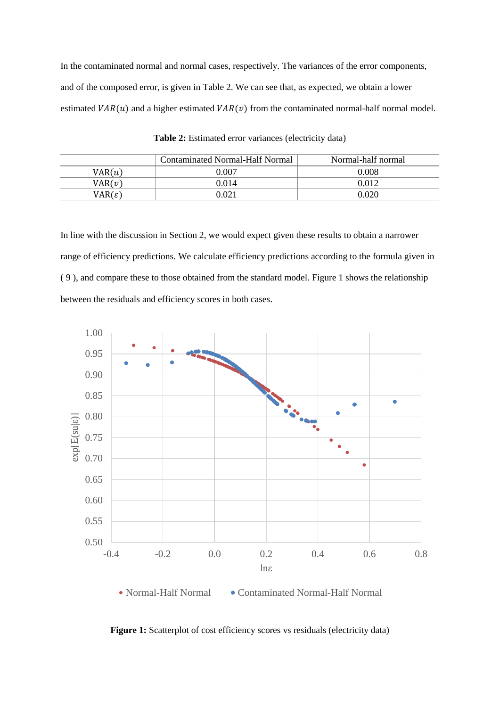In the contaminated normal and normal cases, respectively. The variances of the error components, and of the composed error, is given in [Table 2.](#page-11-0) We can see that, as expected, we obtain a lower estimated  $VAR(u)$  and a higher estimated  $VAR(v)$  from the contaminated normal-half normal model.

<span id="page-11-0"></span>

|                    | Contaminated Normal-Half Normal | Normal-half normal |
|--------------------|---------------------------------|--------------------|
| VAR(u)             | 0.007                           | 0.008              |
| VAR(v)             | 0.014                           | 0 012              |
| $VAR(\varepsilon)$ | 0.021                           | 0.020              |

**Table 2:** Estimated error variances (electricity data)

In line with the discussion in Section [2,](#page-2-0) we would expect given these results to obtain a narrower range of efficiency predictions. We calculate efficiency predictions according to the formula given in [\( 9](#page-7-0) ), and compare these to those obtained from the standard model. [Figure 1](#page-11-1) shows the relationship between the residuals and efficiency scores in both cases.



<span id="page-11-1"></span>Figure 1: Scatterplot of cost efficiency scores vs residuals (electricity data)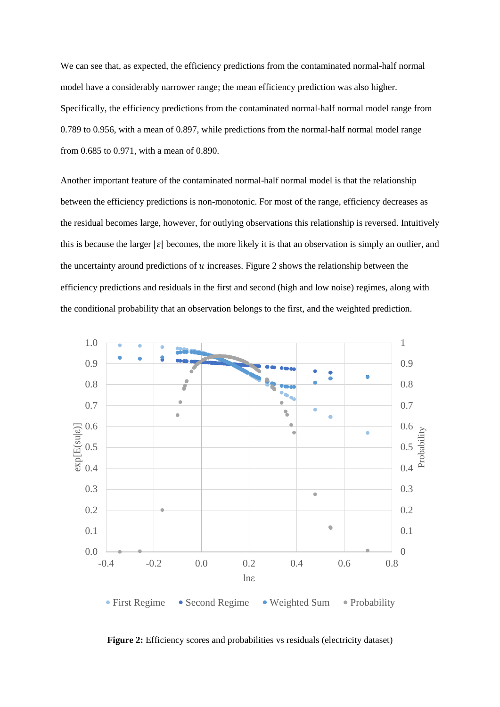We can see that, as expected, the efficiency predictions from the contaminated normal-half normal model have a considerably narrower range; the mean efficiency prediction was also higher. Specifically, the efficiency predictions from the contaminated normal-half normal model range from 0.789 to 0.956, with a mean of 0.897, while predictions from the normal-half normal model range from 0.685 to 0.971, with a mean of 0.890.

Another important feature of the contaminated normal-half normal model is that the relationship between the efficiency predictions is non-monotonic. For most of the range, efficiency decreases as the residual becomes large, however, for outlying observations this relationship is reversed. Intuitively this is because the larger  $|\varepsilon|$  becomes, the more likely it is that an observation is simply an outlier, and the uncertainty around predictions of  $u$  increases. [Figure 2](#page-12-0) shows the relationship between the efficiency predictions and residuals in the first and second (high and low noise) regimes, along with the conditional probability that an observation belongs to the first, and the weighted prediction.



<span id="page-12-0"></span>**Figure 2:** Efficiency scores and probabilities vs residuals (electricity dataset)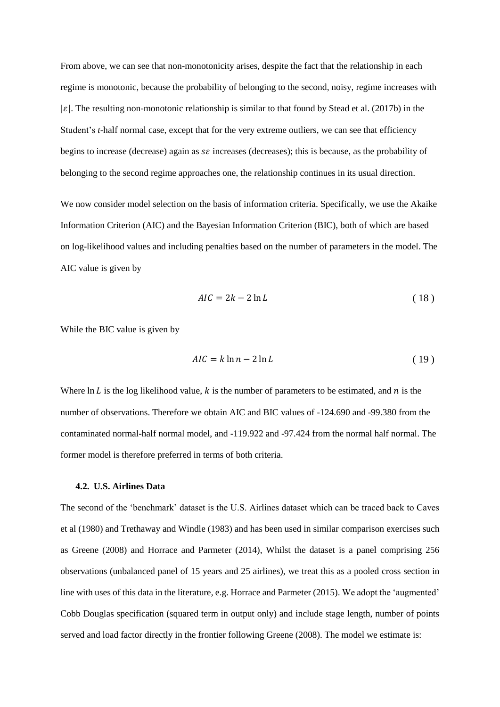From above, we can see that non-monotonicity arises, despite the fact that the relationship in each regime is monotonic, because the probability of belonging to the second, noisy, regime increases with  $|\varepsilon|$ . The resulting non-monotonic relationship is similar to that found by Stead et al. (2017b) in the Student's *t*-half normal case, except that for the very extreme outliers, we can see that efficiency begins to increase (decrease) again as  $s\epsilon$  increases (decreases); this is because, as the probability of belonging to the second regime approaches one, the relationship continues in its usual direction.

We now consider model selection on the basis of information criteria. Specifically, we use the Akaike Information Criterion (AIC) and the Bayesian Information Criterion (BIC), both of which are based on log-likelihood values and including penalties based on the number of parameters in the model. The AIC value is given by

$$
AIC = 2k - 2\ln L \tag{18}
$$

While the BIC value is given by

$$
AIC = k \ln n - 2 \ln L \tag{19}
$$

Where  $\ln L$  is the log likelihood value, k is the number of parameters to be estimated, and n is the number of observations. Therefore we obtain AIC and BIC values of -124.690 and -99.380 from the contaminated normal-half normal model, and -119.922 and -97.424 from the normal half normal. The former model is therefore preferred in terms of both criteria.

## **4.2. U.S. Airlines Data**

The second of the 'benchmark' dataset is the U.S. Airlines dataset which can be traced back to Caves et al (1980) and Trethaway and Windle (1983) and has been used in similar comparison exercises such as Greene (2008) and Horrace and Parmeter (2014), Whilst the dataset is a panel comprising 256 observations (unbalanced panel of 15 years and 25 airlines), we treat this as a pooled cross section in line with uses of this data in the literature, e.g. Horrace and Parmeter (2015). We adopt the 'augmented' Cobb Douglas specification (squared term in output only) and include stage length, number of points served and load factor directly in the frontier following Greene (2008). The model we estimate is: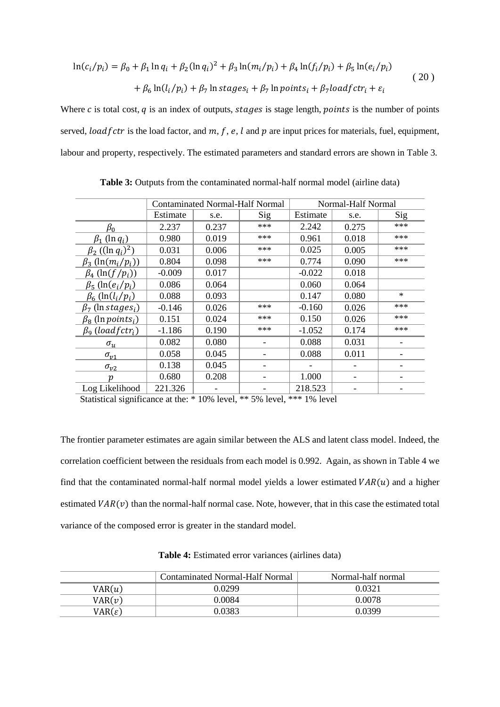$$
\ln(c_i/p_i) = \beta_0 + \beta_1 \ln q_i + \beta_2 (\ln q_i)^2 + \beta_3 \ln(m_i/p_i) + \beta_4 \ln(f_i/p_i) + \beta_5 \ln(e_i/p_i)
$$
  
+ 
$$
\beta_6 \ln(l_i/p_i) + \beta_7 \ln stages_i + \beta_7 \ln points_i + \beta_7 load fctr_i + \varepsilon_i
$$
 (20)

Where  $c$  is total cost,  $q$  is an index of outputs, stages is stage length, *points* is the number of points served, load f ctr is the load factor, and  $m, f, e, l$  and  $p$  are input prices for materials, fuel, equipment, labour and property, respectively. The estimated parameters and standard errors are shown in [Table 3.](#page-14-0)

<span id="page-14-0"></span>

|                                                | <b>Contaminated Normal-Half Normal</b> |       |     | Normal-Half Normal |       |        |
|------------------------------------------------|----------------------------------------|-------|-----|--------------------|-------|--------|
|                                                | Estimate                               | s.e.  | Sig | Estimate           | s.e.  | Sig    |
| $\beta_0$                                      | 2.237                                  | 0.237 | *** | 2.242              | 0.275 | ***    |
| $\beta_1$ (ln $q_i$ )                          | 0.980                                  | 0.019 | *** | 0.961              | 0.018 | ***    |
| $\beta_2$ ((ln $q_i$ ) <sup>2</sup> )          | 0.031                                  | 0.006 | *** | 0.025              | 0.005 | ***    |
| $\beta_3$ (ln( $m_i/p_i$ ))                    | 0.804                                  | 0.098 | *** | 0.774              | 0.090 | ***    |
| $\beta_4$ (ln(f/p <sub>i</sub> ))              | $-0.009$                               | 0.017 |     | $-0.022$           | 0.018 |        |
| $\beta_5$ (ln(e <sub>i</sub> /p <sub>i</sub> ) | 0.086                                  | 0.064 |     | 0.060              | 0.064 |        |
| $\beta_6$ (ln(l <sub>i</sub> /p <sub>i</sub> ) | 0.088                                  | 0.093 |     | 0.147              | 0.080 | $\ast$ |
| $\beta_7$ (ln stages <sub>i</sub> )            | $-0.146$                               | 0.026 | *** | $-0.160$           | 0.026 | ***    |
| $\beta_8$ (ln points <sub>i</sub> )            | 0.151                                  | 0.024 | *** | 0.150              | 0.026 | ***    |
| $\beta_9$ (loadfctr <sub>i</sub> )             | $-1.186$                               | 0.190 | *** | $-1.052$           | 0.174 | ***    |
| $\sigma_u$                                     | 0.082                                  | 0.080 |     | 0.088              | 0.031 |        |
| $\sigma_{\nu}$ 1                               | 0.058                                  | 0.045 |     | 0.088              | 0.011 |        |
| $\sigma_{v2}$                                  | 0.138                                  | 0.045 |     |                    |       |        |
| n                                              | 0.680                                  | 0.208 |     | 1.000              |       |        |
| Log Likelihood                                 | 221.326                                |       |     | 218.523            |       |        |

**Table 3:** Outputs from the contaminated normal-half normal model (airline data)

Statistical significance at the: \* 10% level, \*\* 5% level, \*\*\* 1% level

The frontier parameter estimates are again similar between the ALS and latent class model. Indeed, the correlation coefficient between the residuals from each model is 0.992. Again, as shown i[n Table 4](#page-14-1) we find that the contaminated normal-half normal model yields a lower estimated  $VAR(u)$  and a higher estimated  $VAR(v)$  than the normal-half normal case. Note, however, that in this case the estimated total variance of the composed error is greater in the standard model.

<span id="page-14-1"></span>

|                    | Contaminated Normal-Half Normal | Normal-half normal |
|--------------------|---------------------------------|--------------------|
| VAR(u)             | 0 0299                          | 0.0321             |
| VAR(v)             | 0.0084                          | 0.0078             |
| $VAR(\varepsilon)$ | 0.0383                          | 0.0399             |

**Table 4:** Estimated error variances (airlines data)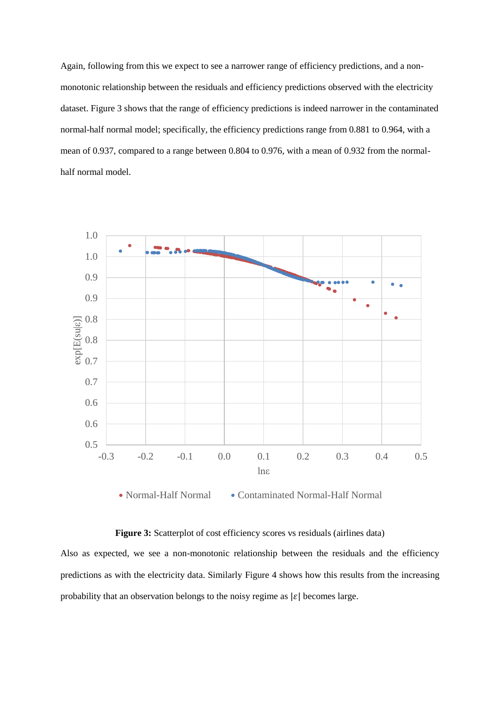Again, following from this we expect to see a narrower range of efficiency predictions, and a nonmonotonic relationship between the residuals and efficiency predictions observed with the electricity dataset. [Figure 3](#page-15-0) shows that the range of efficiency predictions is indeed narrower in the contaminated normal-half normal model; specifically, the efficiency predictions range from 0.881 to 0.964, with a mean of 0.937, compared to a range between 0.804 to 0.976, with a mean of 0.932 from the normalhalf normal model.



• Normal-Half Normal • Contaminated Normal-Half Normal

## **Figure 3:** Scatterplot of cost efficiency scores vs residuals (airlines data)

<span id="page-15-0"></span>Also as expected, we see a non-monotonic relationship between the residuals and the efficiency predictions as with the electricity data. Similarly [Figure 4](#page-16-0) shows how this results from the increasing probability that an observation belongs to the noisy regime as  $|\varepsilon|$  becomes large.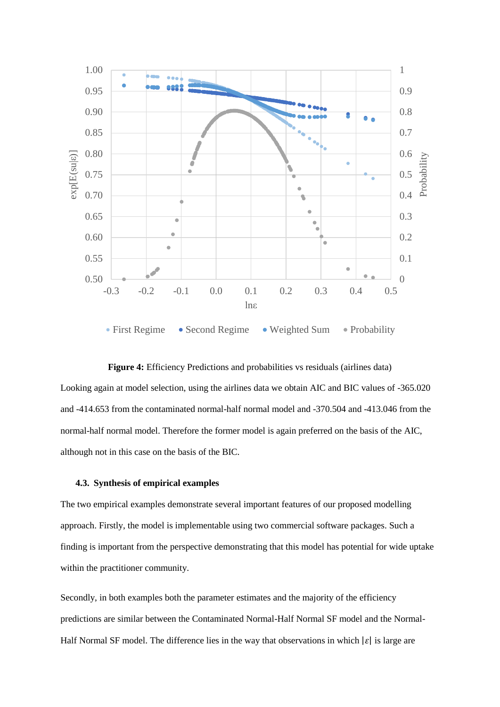

# <span id="page-16-0"></span>**Figure 4:** Efficiency Predictions and probabilities vs residuals (airlines data) Looking again at model selection, using the airlines data we obtain AIC and BIC values of -365.020 and -414.653 from the contaminated normal-half normal model and -370.504 and -413.046 from the normal-half normal model. Therefore the former model is again preferred on the basis of the AIC, although not in this case on the basis of the BIC.

## **4.3. Synthesis of empirical examples**

The two empirical examples demonstrate several important features of our proposed modelling approach. Firstly, the model is implementable using two commercial software packages. Such a finding is important from the perspective demonstrating that this model has potential for wide uptake within the practitioner community.

Secondly, in both examples both the parameter estimates and the majority of the efficiency predictions are similar between the Contaminated Normal-Half Normal SF model and the Normal-Half Normal SF model. The difference lies in the way that observations in which  $|\varepsilon|$  is large are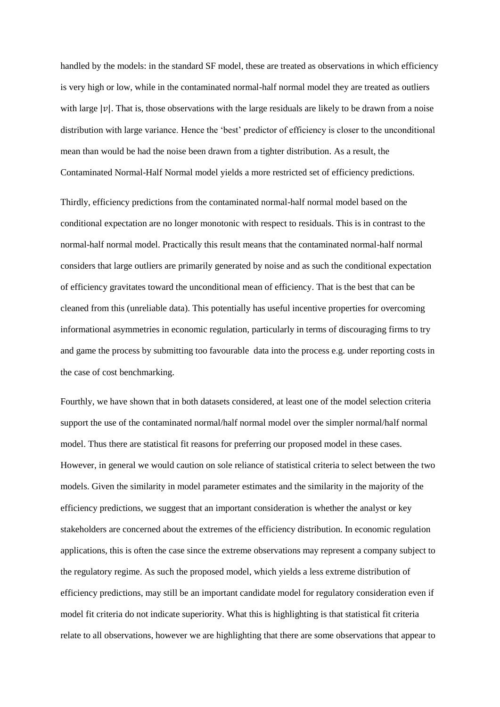handled by the models: in the standard SF model, these are treated as observations in which efficiency is very high or low, while in the contaminated normal-half normal model they are treated as outliers with large  $|\nu|$ . That is, those observations with the large residuals are likely to be drawn from a noise distribution with large variance. Hence the 'best' predictor of efficiency is closer to the unconditional mean than would be had the noise been drawn from a tighter distribution. As a result, the Contaminated Normal-Half Normal model yields a more restricted set of efficiency predictions.

Thirdly, efficiency predictions from the contaminated normal-half normal model based on the conditional expectation are no longer monotonic with respect to residuals. This is in contrast to the normal-half normal model. Practically this result means that the contaminated normal-half normal considers that large outliers are primarily generated by noise and as such the conditional expectation of efficiency gravitates toward the unconditional mean of efficiency. That is the best that can be cleaned from this (unreliable data). This potentially has useful incentive properties for overcoming informational asymmetries in economic regulation, particularly in terms of discouraging firms to try and game the process by submitting too favourable data into the process e.g. under reporting costs in the case of cost benchmarking.

Fourthly, we have shown that in both datasets considered, at least one of the model selection criteria support the use of the contaminated normal/half normal model over the simpler normal/half normal model. Thus there are statistical fit reasons for preferring our proposed model in these cases. However, in general we would caution on sole reliance of statistical criteria to select between the two models. Given the similarity in model parameter estimates and the similarity in the majority of the efficiency predictions, we suggest that an important consideration is whether the analyst or key stakeholders are concerned about the extremes of the efficiency distribution. In economic regulation applications, this is often the case since the extreme observations may represent a company subject to the regulatory regime. As such the proposed model, which yields a less extreme distribution of efficiency predictions, may still be an important candidate model for regulatory consideration even if model fit criteria do not indicate superiority. What this is highlighting is that statistical fit criteria relate to all observations, however we are highlighting that there are some observations that appear to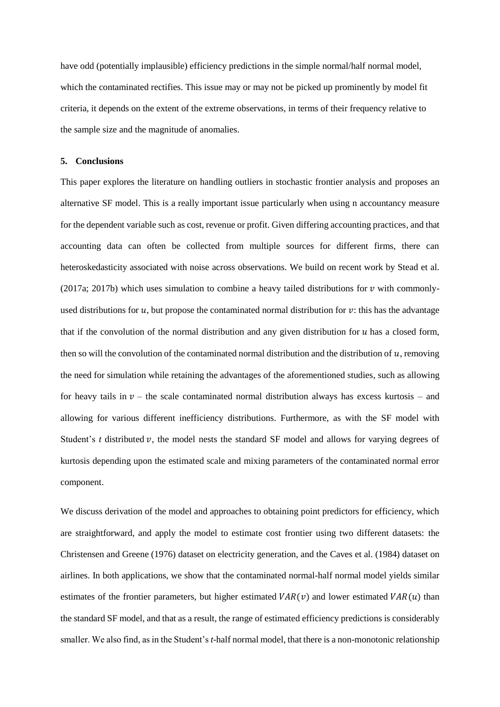have odd (potentially implausible) efficiency predictions in the simple normal/half normal model, which the contaminated rectifies. This issue may or may not be picked up prominently by model fit criteria, it depends on the extent of the extreme observations, in terms of their frequency relative to the sample size and the magnitude of anomalies.

## <span id="page-18-0"></span>**5. Conclusions**

This paper explores the literature on handling outliers in stochastic frontier analysis and proposes an alternative SF model. This is a really important issue particularly when using n accountancy measure for the dependent variable such as cost, revenue or profit. Given differing accounting practices, and that accounting data can often be collected from multiple sources for different firms, there can heteroskedasticity associated with noise across observations. We build on recent work by Stead et al. (2017a; 2017b) which uses simulation to combine a heavy tailed distributions for  $\nu$  with commonlyused distributions for  $u$ , but propose the contaminated normal distribution for  $v$ : this has the advantage that if the convolution of the normal distribution and any given distribution for  $u$  has a closed form, then so will the convolution of the contaminated normal distribution and the distribution of  $u$ , removing the need for simulation while retaining the advantages of the aforementioned studies, such as allowing for heavy tails in  $v$  – the scale contaminated normal distribution always has excess kurtosis – and allowing for various different inefficiency distributions. Furthermore, as with the SF model with Student's  $t$  distributed  $v$ , the model nests the standard SF model and allows for varying degrees of kurtosis depending upon the estimated scale and mixing parameters of the contaminated normal error component.

We discuss derivation of the model and approaches to obtaining point predictors for efficiency, which are straightforward, and apply the model to estimate cost frontier using two different datasets: the Christensen and Greene (1976) dataset on electricity generation, and the Caves et al. (1984) dataset on airlines. In both applications, we show that the contaminated normal-half normal model yields similar estimates of the frontier parameters, but higher estimated  $VAR(v)$  and lower estimated  $VAR(u)$  than the standard SF model, and that as a result, the range of estimated efficiency predictions is considerably smaller. We also find, as in the Student's *t*-half normal model, that there is a non-monotonic relationship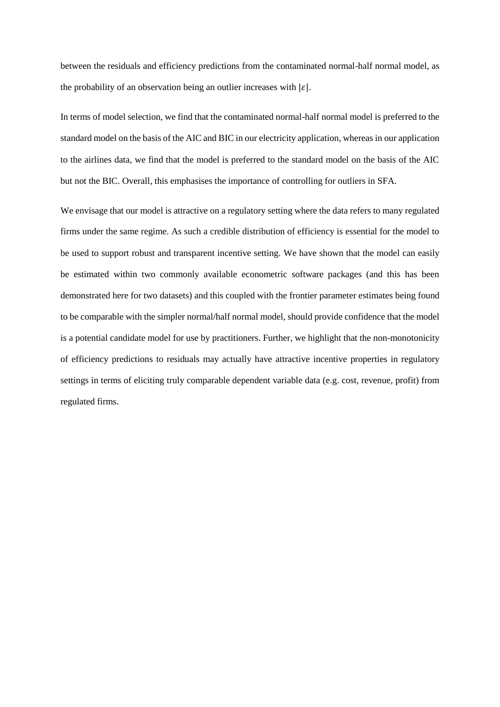between the residuals and efficiency predictions from the contaminated normal-half normal model, as the probability of an observation being an outlier increases with  $|\varepsilon|$ .

In terms of model selection, we find that the contaminated normal-half normal model is preferred to the standard model on the basis of the AIC and BIC in our electricity application, whereas in our application to the airlines data, we find that the model is preferred to the standard model on the basis of the AIC but not the BIC. Overall, this emphasises the importance of controlling for outliers in SFA.

We envisage that our model is attractive on a regulatory setting where the data refers to many regulated firms under the same regime. As such a credible distribution of efficiency is essential for the model to be used to support robust and transparent incentive setting. We have shown that the model can easily be estimated within two commonly available econometric software packages (and this has been demonstrated here for two datasets) and this coupled with the frontier parameter estimates being found to be comparable with the simpler normal/half normal model, should provide confidence that the model is a potential candidate model for use by practitioners. Further, we highlight that the non-monotonicity of efficiency predictions to residuals may actually have attractive incentive properties in regulatory settings in terms of eliciting truly comparable dependent variable data (e.g. cost, revenue, profit) from regulated firms.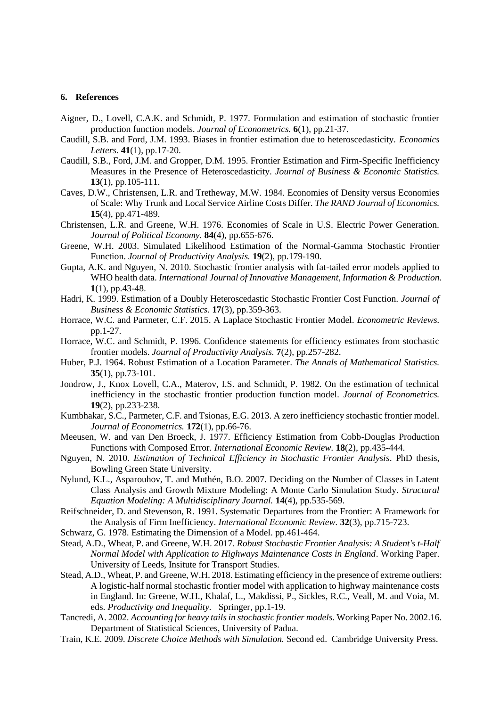## **6. References**

- Aigner, D., Lovell, C.A.K. and Schmidt, P. 1977. Formulation and estimation of stochastic frontier production function models. *Journal of Econometrics.* **6**(1), pp.21-37.
- Caudill, S.B. and Ford, J.M. 1993. Biases in frontier estimation due to heteroscedasticity. *Economics Letters.* **41**(1), pp.17-20.
- Caudill, S.B., Ford, J.M. and Gropper, D.M. 1995. Frontier Estimation and Firm-Specific Inefficiency Measures in the Presence of Heteroscedasticity. *Journal of Business & Economic Statistics.* **13**(1), pp.105-111.
- Caves, D.W., Christensen, L.R. and Tretheway, M.W. 1984. Economies of Density versus Economies of Scale: Why Trunk and Local Service Airline Costs Differ. *The RAND Journal of Economics.* **15**(4), pp.471-489.
- Christensen, L.R. and Greene, W.H. 1976. Economies of Scale in U.S. Electric Power Generation. *Journal of Political Economy.* **84**(4), pp.655-676.
- Greene, W.H. 2003. Simulated Likelihood Estimation of the Normal-Gamma Stochastic Frontier Function. *Journal of Productivity Analysis.* **19**(2), pp.179-190.
- Gupta, A.K. and Nguyen, N. 2010. Stochastic frontier analysis with fat-tailed error models applied to WHO health data. *International Journal of Innovative Management, Information & Production.* **1**(1), pp.43-48.
- Hadri, K. 1999. Estimation of a Doubly Heteroscedastic Stochastic Frontier Cost Function. *Journal of Business & Economic Statistics.* **17**(3), pp.359-363.
- Horrace, W.C. and Parmeter, C.F. 2015. A Laplace Stochastic Frontier Model. *Econometric Reviews.* pp.1-27.
- Horrace, W.C. and Schmidt, P. 1996. Confidence statements for efficiency estimates from stochastic frontier models. *Journal of Productivity Analysis.* **7**(2), pp.257-282.
- Huber, P.J. 1964. Robust Estimation of a Location Parameter. *The Annals of Mathematical Statistics.* **35**(1), pp.73-101.
- Jondrow, J., Knox Lovell, C.A., Materov, I.S. and Schmidt, P. 1982. On the estimation of technical inefficiency in the stochastic frontier production function model. *Journal of Econometrics.* **19**(2), pp.233-238.
- Kumbhakar, S.C., Parmeter, C.F. and Tsionas, E.G. 2013. A zero inefficiency stochastic frontier model. *Journal of Econometrics.* **172**(1), pp.66-76.
- Meeusen, W. and van Den Broeck, J. 1977. Efficiency Estimation from Cobb-Douglas Production Functions with Composed Error. *International Economic Review.* **18**(2), pp.435-444.
- Nguyen, N. 2010. *Estimation of Technical Efficiency in Stochastic Frontier Analysis*. PhD thesis, Bowling Green State University.
- Nylund, K.L., Asparouhov, T. and Muthén, B.O. 2007. Deciding on the Number of Classes in Latent Class Analysis and Growth Mixture Modeling: A Monte Carlo Simulation Study. *Structural Equation Modeling: A Multidisciplinary Journal.* **14**(4), pp.535-569.
- Reifschneider, D. and Stevenson, R. 1991. Systematic Departures from the Frontier: A Framework for the Analysis of Firm Inefficiency. *International Economic Review.* **32**(3), pp.715-723.
- Schwarz, G. 1978. Estimating the Dimension of a Model. pp.461-464.
- Stead, A.D., Wheat, P. and Greene, W.H. 2017. *Robust Stochastic Frontier Analysis: A Student's t-Half Normal Model with Application to Highways Maintenance Costs in England*. Working Paper. University of Leeds, Insitute for Transport Studies.
- Stead, A.D., Wheat, P. and Greene, W.H. 2018. Estimating efficiency in the presence of extreme outliers: A logistic-half normal stochastic frontier model with application to highway maintenance costs in England. In: Greene, W.H., Khalaf, L., Makdissi, P., Sickles, R.C., Veall, M. and Voia, M. eds. *Productivity and Inequality.* Springer, pp.1-19.
- Tancredi, A. 2002. *Accounting for heavy tails in stochastic frontier models*. Working Paper No. 2002.16. Department of Statistical Sciences, University of Padua.
- Train, K.E. 2009. *Discrete Choice Methods with Simulation.* Second ed. Cambridge University Press.